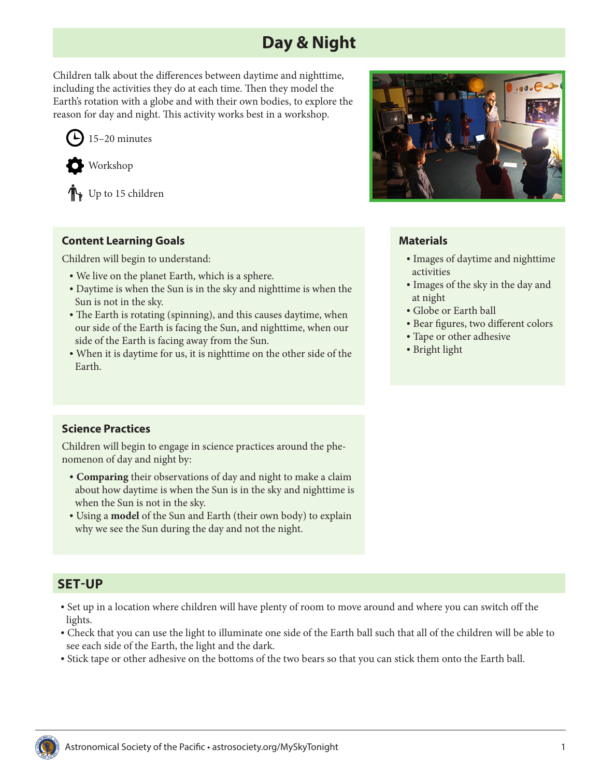# **Day & Night**

Children talk about the differences between daytime and nighttime, including the activities they do at each time. Then they model the Earth's rotation with a globe and with their own bodies, to explore the reason for day and night. This activity works best in a workshop.





Up to 15 children

## **Content Learning Goals**

Children will begin to understand:

- We live on the planet Earth, which is a sphere.
- Daytime is when the Sun is in the sky and nighttime is when the Sun is not in the sky.
- The Earth is rotating (spinning), and this causes daytime, when our side of the Earth is facing the Sun, and nighttime, when our side of the Earth is facing away from the Sun.
- When it is daytime for us, it is nighttime on the other side of the Earth.



## **Materials**

- Images of daytime and nighttime activities
- Images of the sky in the day and at night
- Globe or Earth ball
- Bear figures, two different colors
- Tape or other adhesive
- Bright light

## **Science Practices**

Children will begin to engage in science practices around the phenomenon of day and night by:

- **• Comparing** their observations of day and night to make a claim about how daytime is when the Sun is in the sky and nighttime is when the Sun is not in the sky.
- Using a **model** of the Sun and Earth (their own body) to explain why we see the Sun during the day and not the night.

# **SET-UP**

- Set up in a location where children will have plenty of room to move around and where you can switch off the lights.
- Check that you can use the light to illuminate one side of the Earth ball such that all of the children will be able to see each side of the Earth, the light and the dark.
- Stick tape or other adhesive on the bottoms of the two bears so that you can stick them onto the Earth ball.

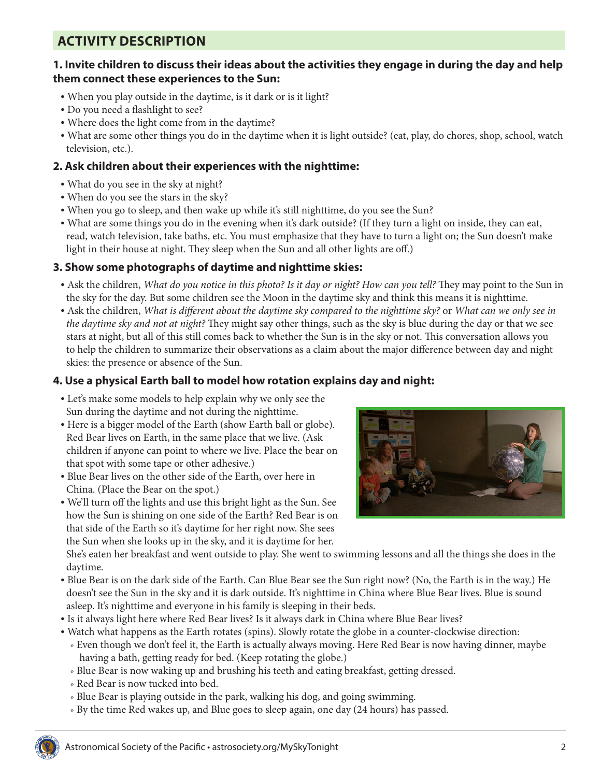# **ACTIVITY DESCRIPTION**

#### **1. Invite children to discuss their ideas about the activities they engage in during the day and help them connect these experiences to the Sun:**

- When you play outside in the daytime, is it dark or is it light?
- Do you need a flashlight to see?
- Where does the light come from in the daytime?
- What are some other things you do in the daytime when it is light outside? (eat, play, do chores, shop, school, watch television, etc.).

#### **2. Ask children about their experiences with the nighttime:**

- What do you see in the sky at night?
- When do you see the stars in the sky?
- When you go to sleep, and then wake up while it's still nighttime, do you see the Sun?
- What are some things you do in the evening when it's dark outside? (If they turn a light on inside, they can eat, read, watch television, take baths, etc. You must emphasize that they have to turn a light on; the Sun doesn't make light in their house at night. They sleep when the Sun and all other lights are off.)

#### **3. Show some photographs of daytime and nighttime skies:**

- Ask the children, *What do you notice in this photo? Is it day or night? How can you tell?* They may point to the Sun in the sky for the day. But some children see the Moon in the daytime sky and think this means it is nighttime.
- Ask the children, *What is different about the daytime sky compared to the nighttime sky?* or *What can we only see in the daytime sky and not at night?* They might say other things, such as the sky is blue during the day or that we see stars at night, but all of this still comes back to whether the Sun is in the sky or not. This conversation allows you to help the children to summarize their observations as a claim about the major difference between day and night skies: the presence or absence of the Sun.

## **4. Use a physical Earth ball to model how rotation explains day and night:**

- Let's make some models to help explain why we only see the Sun during the daytime and not during the nighttime.
- Here is a bigger model of the Earth (show Earth ball or globe). Red Bear lives on Earth, in the same place that we live. (Ask children if anyone can point to where we live. Place the bear on that spot with some tape or other adhesive.)
- Blue Bear lives on the other side of the Earth, over here in China. (Place the Bear on the spot.)
- We'll turn off the lights and use this bright light as the Sun. See how the Sun is shining on one side of the Earth? Red Bear is on that side of the Earth so it's daytime for her right now. She sees the Sun when she looks up in the sky, and it is daytime for her.



She's eaten her breakfast and went outside to play. She went to swimming lessons and all the things she does in the daytime.

- Blue Bear is on the dark side of the Earth. Can Blue Bear see the Sun right now? (No, the Earth is in the way.) He doesn't see the Sun in the sky and it is dark outside. It's nighttime in China where Blue Bear lives. Blue is sound asleep. It's nighttime and everyone in his family is sleeping in their beds.
- Is it always light here where Red Bear lives? Is it always dark in China where Blue Bear lives?
- Watch what happens as the Earth rotates (spins). Slowly rotate the globe in a counter-clockwise direction: <sup>o</sup> Even though we don't feel it, the Earth is actually always moving. Here Red Bear is now having dinner, maybe having a bath, getting ready for bed. (Keep rotating the globe.)
	- <sup>o</sup> Blue Bear is now waking up and brushing his teeth and eating breakfast, getting dressed.
	- <sup>o</sup> Red Bear is now tucked into bed.
	- <sup>o</sup> Blue Bear is playing outside in the park, walking his dog, and going swimming.
	- <sup>o</sup> By the time Red wakes up, and Blue goes to sleep again, one day (24 hours) has passed.

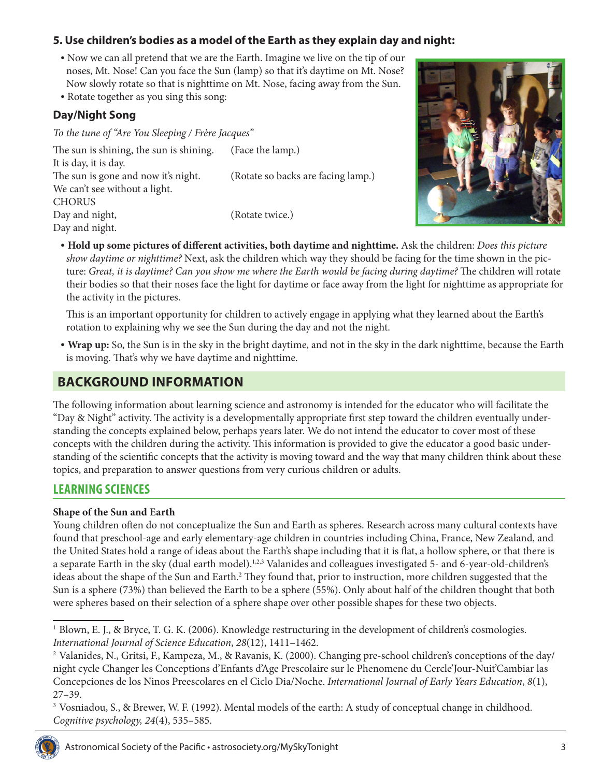## **5. Use children's bodies as a model of the Earth as they explain day and night:**

- Now we can all pretend that we are the Earth. Imagine we live on the tip of our noses, Mt. Nose! Can you face the Sun (lamp) so that it's daytime on Mt. Nose? Now slowly rotate so that is nighttime on Mt. Nose, facing away from the Sun.
- Rotate together as you sing this song:

#### **Day/Night Song**

*To the tune of "Are You Sleeping / Frère Jacques"*

The sun is shining, the sun is shining. (Face the lamp.) It is day, it is day. The sun is gone and now it's night. (Rotate so backs are facing lamp.) We can't see without a light. CHORUS Day and night, (Rotate twice.) Day and night.



**• Hold up some pictures of different activities, both daytime and nighttime.** Ask the children: *Does this picture show daytime or nighttime?* Next, ask the children which way they should be facing for the time shown in the picture: *Great, it is daytime? Can you show me where the Earth would be facing during daytime?* The children will rotate their bodies so that their noses face the light for daytime or face away from the light for nighttime as appropriate for the activity in the pictures.

This is an important opportunity for children to actively engage in applying what they learned about the Earth's rotation to explaining why we see the Sun during the day and not the night.

**• Wrap up:** So, the Sun is in the sky in the bright daytime, and not in the sky in the dark nighttime, because the Earth is moving. That's why we have daytime and nighttime.

## **BACKGROUND INFORMATION**

The following information about learning science and astronomy is intended for the educator who will facilitate the "Day & Night" activity. The activity is a developmentally appropriate first step toward the children eventually understanding the concepts explained below, perhaps years later. We do not intend the educator to cover most of these concepts with the children during the activity. This information is provided to give the educator a good basic understanding of the scientific concepts that the activity is moving toward and the way that many children think about these topics, and preparation to answer questions from very curious children or adults.

## **LEARNING SCIENCES**

#### **Shape of the Sun and Earth**

Young children often do not conceptualize the Sun and Earth as spheres. Research across many cultural contexts have found that preschool-age and early elementary-age children in countries including China, France, New Zealand, and the United States hold a range of ideas about the Earth's shape including that it is flat, a hollow sphere, or that there is a separate Earth in the sky (dual earth model).1,2,3 Valanides and colleagues investigated 5- and 6-year-old-children's ideas about the shape of the Sun and Earth.<sup>2</sup> They found that, prior to instruction, more children suggested that the Sun is a sphere (73%) than believed the Earth to be a sphere (55%). Only about half of the children thought that both were spheres based on their selection of a sphere shape over other possible shapes for these two objects.

<sup>&</sup>lt;sup>3</sup> Vosniadou, S., & Brewer, W. F. (1992). Mental models of the earth: A study of conceptual change in childhood. *Cognitive psychology, 24*(4), 535–585.



<sup>1</sup> Blown, E. J., & Bryce, T. G. K. (2006). Knowledge restructuring in the development of children's cosmologies. *International Journal of Science Education*, *28*(12), 1411–1462.

<sup>2</sup> Valanides, N., Gritsi, F., Kampeza, M., & Ravanis, K. (2000). Changing pre-school children's conceptions of the day/ night cycle Changer les Conceptions d'Enfants d'Age Prescolaire sur le Phenomene du Cercle'Jour-Nuit'Cambiar las Concepciones de los Ninos Preescolares en el Ciclo Dia/Noche. *International Journal of Early Years Education*, *8*(1), 27–39.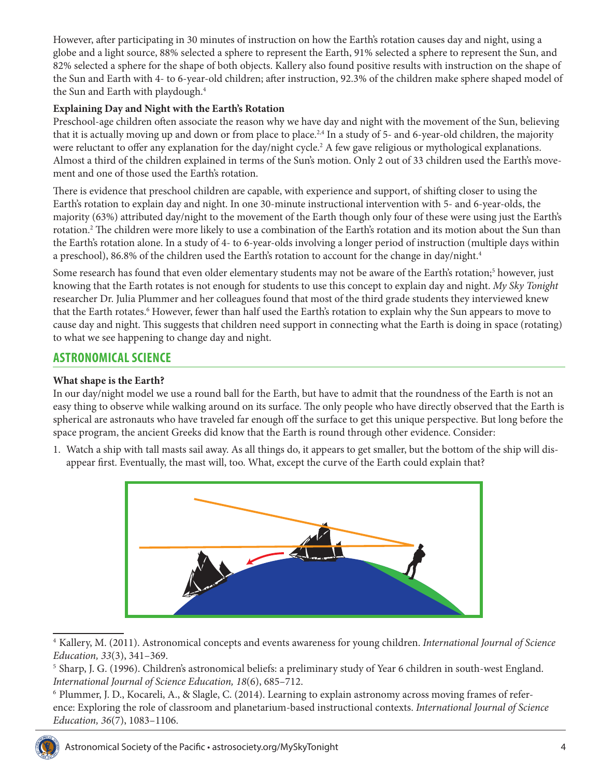However, after participating in 30 minutes of instruction on how the Earth's rotation causes day and night, using a globe and a light source, 88% selected a sphere to represent the Earth, 91% selected a sphere to represent the Sun, and 82% selected a sphere for the shape of both objects. Kallery also found positive results with instruction on the shape of the Sun and Earth with 4- to 6-year-old children; after instruction, 92.3% of the children make sphere shaped model of the Sun and Earth with playdough.<sup>4</sup>

#### **Explaining Day and Night with the Earth's Rotation**

Preschool-age children often associate the reason why we have day and night with the movement of the Sun, believing that it is actually moving up and down or from place to place.<sup>2,4</sup> In a study of 5- and 6-year-old children, the majority were reluctant to offer any explanation for the day/night cycle.<sup>2</sup> A few gave religious or mythological explanations. Almost a third of the children explained in terms of the Sun's motion. Only 2 out of 33 children used the Earth's movement and one of those used the Earth's rotation.

There is evidence that preschool children are capable, with experience and support, of shifting closer to using the Earth's rotation to explain day and night. In one 30-minute instructional intervention with 5- and 6-year-olds, the majority (63%) attributed day/night to the movement of the Earth though only four of these were using just the Earth's rotation.2 The children were more likely to use a combination of the Earth's rotation and its motion about the Sun than the Earth's rotation alone. In a study of 4- to 6-year-olds involving a longer period of instruction (multiple days within a preschool), 86.8% of the children used the Earth's rotation to account for the change in day/night.<sup>4</sup>

Some research has found that even older elementary students may not be aware of the Earth's rotation;<sup>5</sup> however, just knowing that the Earth rotates is not enough for students to use this concept to explain day and night. *My Sky Tonight* researcher Dr. Julia Plummer and her colleagues found that most of the third grade students they interviewed knew that the Earth rotates.<sup>6</sup> However, fewer than half used the Earth's rotation to explain why the Sun appears to move to cause day and night. This suggests that children need support in connecting what the Earth is doing in space (rotating) to what we see happening to change day and night.

## **ASTRONOMICAL SCIENCE**

#### **What shape is the Earth?**

In our day/night model we use a round ball for the Earth, but have to admit that the roundness of the Earth is not an easy thing to observe while walking around on its surface. The only people who have directly observed that the Earth is spherical are astronauts who have traveled far enough off the surface to get this unique perspective. But long before the space program, the ancient Greeks did know that the Earth is round through other evidence. Consider:

1. Watch a ship with tall masts sail away. As all things do, it appears to get smaller, but the bottom of the ship will disappear first. Eventually, the mast will, too. What, except the curve of the Earth could explain that?



<sup>4</sup> Kallery, M. (2011). Astronomical concepts and events awareness for young children. *International Journal of Science Education, 33*(3), 341–369.

<sup>6</sup> Plummer, J. D., Kocareli, A., & Slagle, C. (2014). Learning to explain astronomy across moving frames of reference: Exploring the role of classroom and planetarium-based instructional contexts. *International Journal of Science Education, 36*(7), 1083–1106.



<sup>5</sup> Sharp, J. G. (1996). Children's astronomical beliefs: a preliminary study of Year 6 children in south‐west England. *International Journal of Science Education, 18*(6), 685–712.